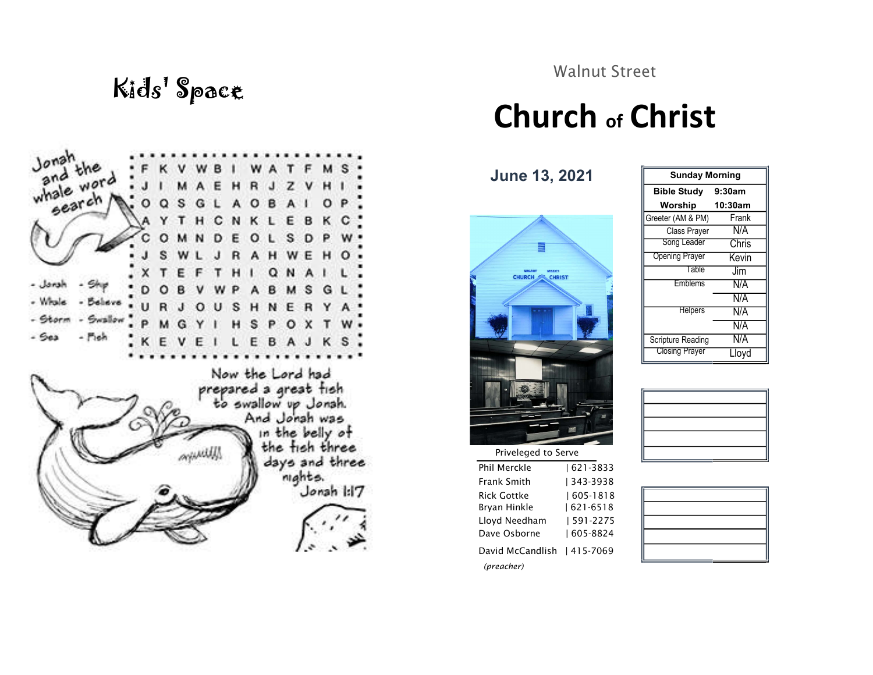

Walnut Street

## Kids' Space<br>
Church of Christ

June 13, 2021



Priveleged to Serve Phil Merckle | 621-3833 Frank Smith | 343-3938 Rick Gottke | 605-1818 Bryan Hinkle  $| 621 - 6518$ Lloyd Needham | 591-2275

Dave Osborne | 605-8824 David McCandlish | 415-7069 (preacher)

| <b>Sunday Morning</b> |         |  |  |
|-----------------------|---------|--|--|
| <b>Bible Study</b>    | 9:30am  |  |  |
| Worship               | 10:30am |  |  |
| Greeter (AM & PM)     | Frank   |  |  |
| Class Prayer          | N/A     |  |  |
| Song Leader           | Chris   |  |  |
| <b>Opening Prayer</b> | Kevin   |  |  |
| Table                 | Jim     |  |  |
| <b>Emblems</b>        | N/A     |  |  |
|                       | N/A     |  |  |
| <b>Helpers</b>        | N/A     |  |  |
|                       | N/A     |  |  |
| Scripture Reading     | N/A     |  |  |
| <b>Closing Prayer</b> | Llovd   |  |  |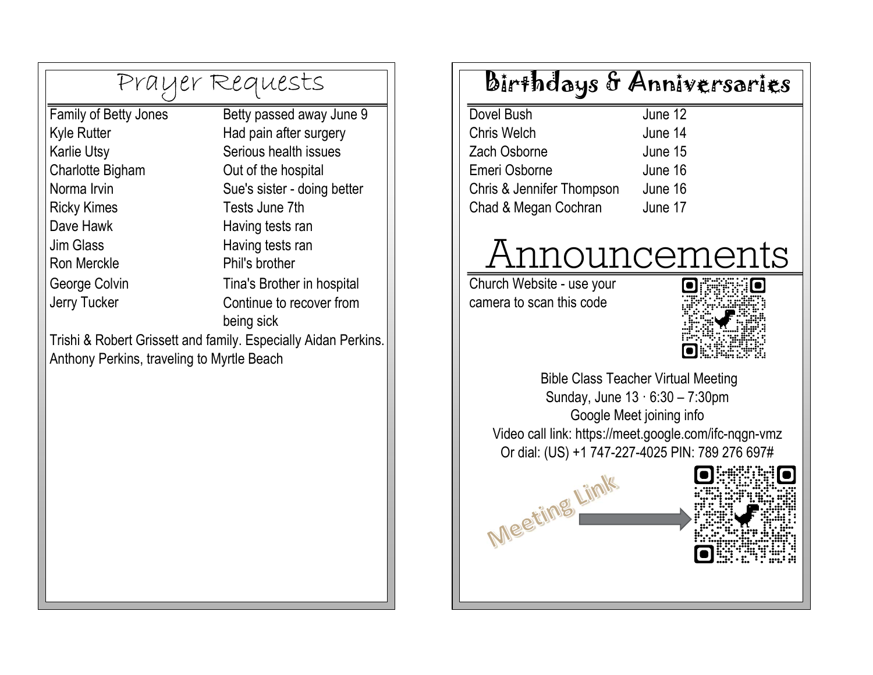|                                            | Prayer Requests                                                | Birthdays                          |
|--------------------------------------------|----------------------------------------------------------------|------------------------------------|
| Family of Betty Jones                      | Betty passed away June 9                                       | <b>Dovel Bush</b>                  |
| <b>Kyle Rutter</b>                         | Had pain after surgery                                         | <b>Chris Welch</b>                 |
| Karlie Utsy                                | Serious health issues                                          | Zach Osborne                       |
| Charlotte Bigham                           | Out of the hospital                                            | Emeri Osborne                      |
| Norma Irvin                                | Sue's sister - doing better                                    | <b>Chris &amp; Jennifer Thomps</b> |
| <b>Ricky Kimes</b>                         | Tests June 7th                                                 | Chad & Megan Cochran               |
| Dave Hawk                                  | Having tests ran                                               |                                    |
| Jim Glass                                  | Having tests ran                                               | Annou                              |
| <b>Ron Merckle</b>                         | Phil's brother                                                 |                                    |
| George Colvin                              | Tina's Brother in hospital                                     | Church Website - use yo            |
| Jerry Tucker                               | Continue to recover from                                       | camera to scan this code           |
|                                            | being sick                                                     |                                    |
|                                            | Trishi & Robert Grissett and family. Especially Aidan Perkins. |                                    |
| Anthony Perkins, traveling to Myrtle Beach |                                                                |                                    |
|                                            |                                                                | <b>Bible Class</b>                 |
|                                            |                                                                | Sunday, Ju                         |
|                                            |                                                                | Googl                              |
|                                            |                                                                | Video call link: https:            |
|                                            |                                                                | Or dial: (US) +1 74                |
|                                            |                                                                |                                    |
|                                            |                                                                | Meeting Lin                        |
|                                            |                                                                |                                    |
|                                            |                                                                |                                    |
|                                            |                                                                |                                    |
|                                            |                                                                |                                    |
|                                            |                                                                |                                    |
|                                            |                                                                |                                    |

## Birthdays & Anniversaries

| June 12 |
|---------|
| June 14 |
| June 15 |
| June 16 |
| June 16 |
| June 17 |
|         |

## Announcements<br>urch Website - use your

camera to scan this code Church Website - use your



 $\bullet$ 

f

 Bible Class Teacher Virtual Meeting Sunday, June 13 · 6:30 – 7:30pm Google Meet joining info Video call link: https://meet.google.com/ifc-nqgn-vmz Or dial: (US) +1 747-227-4025 PIN: 789 276 697# Meeting Limk